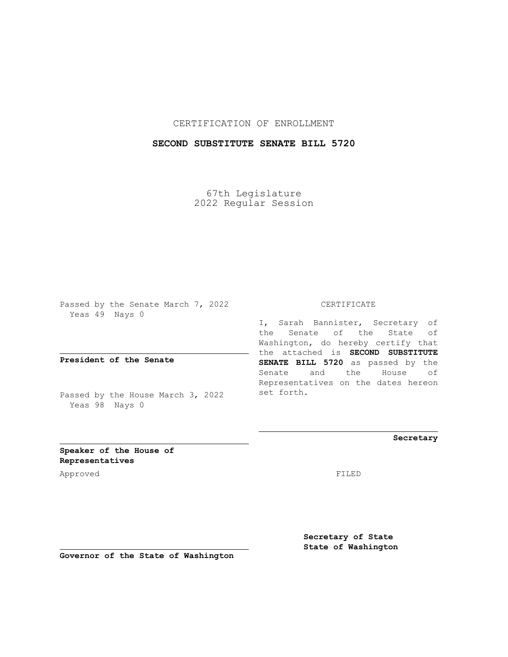## CERTIFICATION OF ENROLLMENT

## **SECOND SUBSTITUTE SENATE BILL 5720**

67th Legislature 2022 Regular Session

Passed by the Senate March 7, 2022 Yeas 49 Nays 0

**President of the Senate**

Passed by the House March 3, 2022 Yeas 98 Nays 0

CERTIFICATE

I, Sarah Bannister, Secretary of the Senate of the State of Washington, do hereby certify that the attached is **SECOND SUBSTITUTE SENATE BILL 5720** as passed by the Senate and the House of Representatives on the dates hereon set forth.

**Secretary**

**Speaker of the House of Representatives**

Approved FILED

**Secretary of State State of Washington**

**Governor of the State of Washington**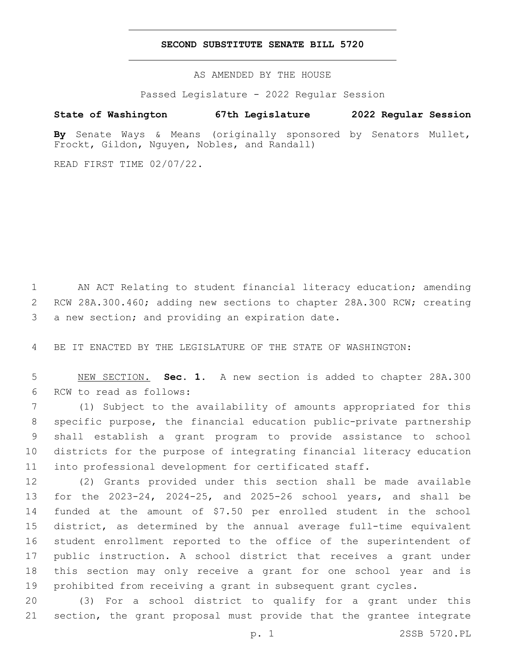## **SECOND SUBSTITUTE SENATE BILL 5720**

AS AMENDED BY THE HOUSE

Passed Legislature - 2022 Regular Session

## **State of Washington 67th Legislature 2022 Regular Session**

**By** Senate Ways & Means (originally sponsored by Senators Mullet, Frockt, Gildon, Nguyen, Nobles, and Randall)

READ FIRST TIME 02/07/22.

 AN ACT Relating to student financial literacy education; amending RCW 28A.300.460; adding new sections to chapter 28A.300 RCW; creating 3 a new section; and providing an expiration date.

BE IT ENACTED BY THE LEGISLATURE OF THE STATE OF WASHINGTON:

 NEW SECTION. **Sec. 1.** A new section is added to chapter 28A.300 6 RCW to read as follows:

 (1) Subject to the availability of amounts appropriated for this specific purpose, the financial education public-private partnership shall establish a grant program to provide assistance to school districts for the purpose of integrating financial literacy education into professional development for certificated staff.

 (2) Grants provided under this section shall be made available for the 2023-24, 2024-25, and 2025-26 school years, and shall be funded at the amount of \$7.50 per enrolled student in the school district, as determined by the annual average full-time equivalent student enrollment reported to the office of the superintendent of public instruction. A school district that receives a grant under this section may only receive a grant for one school year and is prohibited from receiving a grant in subsequent grant cycles.

 (3) For a school district to qualify for a grant under this section, the grant proposal must provide that the grantee integrate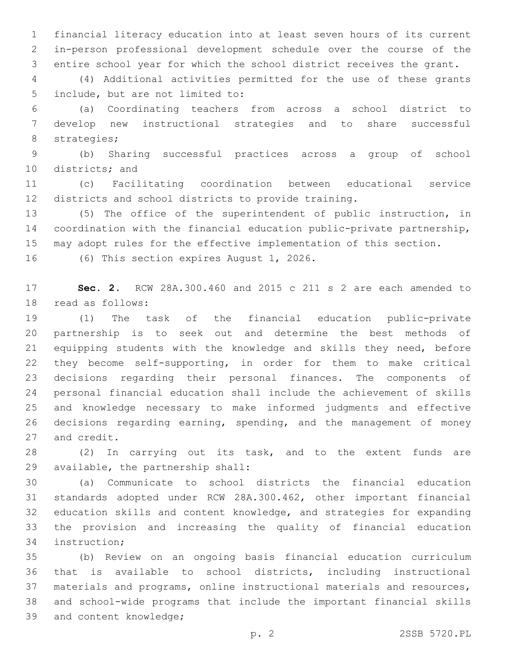financial literacy education into at least seven hours of its current in-person professional development schedule over the course of the entire school year for which the school district receives the grant.

 (4) Additional activities permitted for the use of these grants 5 include, but are not limited to:

 (a) Coordinating teachers from across a school district to develop new instructional strategies and to share successful 8 strategies;

 (b) Sharing successful practices across a group of school 10 districts; and

 (c) Facilitating coordination between educational service districts and school districts to provide training.

 (5) The office of the superintendent of public instruction, in coordination with the financial education public-private partnership, may adopt rules for the effective implementation of this section.

16 (6) This section expires August 1, 2026.

 **Sec. 2.** RCW 28A.300.460 and 2015 c 211 s 2 are each amended to 18 read as follows:

 (1) The task of the financial education public-private partnership is to seek out and determine the best methods of equipping students with the knowledge and skills they need, before they become self-supporting, in order for them to make critical decisions regarding their personal finances. The components of personal financial education shall include the achievement of skills and knowledge necessary to make informed judgments and effective decisions regarding earning, spending, and the management of money 27 and credit.

 (2) In carrying out its task, and to the extent funds are 29 available, the partnership shall:

 (a) Communicate to school districts the financial education standards adopted under RCW 28A.300.462, other important financial education skills and content knowledge, and strategies for expanding the provision and increasing the quality of financial education 34 instruction;

 (b) Review on an ongoing basis financial education curriculum that is available to school districts, including instructional materials and programs, online instructional materials and resources, and school-wide programs that include the important financial skills 39 and content knowledge;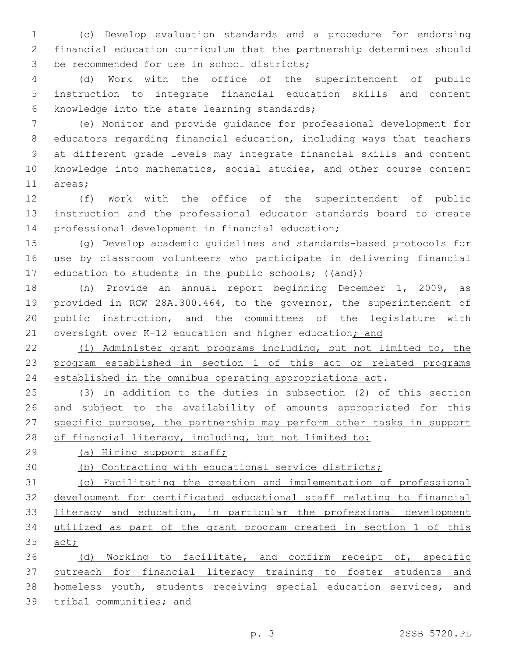(c) Develop evaluation standards and a procedure for endorsing financial education curriculum that the partnership determines should 3 be recommended for use in school districts;

 (d) Work with the office of the superintendent of public instruction to integrate financial education skills and content 6 knowledge into the state learning standards;

 (e) Monitor and provide guidance for professional development for educators regarding financial education, including ways that teachers at different grade levels may integrate financial skills and content knowledge into mathematics, social studies, and other course content 11 areas;

 (f) Work with the office of the superintendent of public instruction and the professional educator standards board to create 14 professional development in financial education;

 (g) Develop academic guidelines and standards-based protocols for use by classroom volunteers who participate in delivering financial 17 education to students in the public schools; ((and))

 (h) Provide an annual report beginning December 1, 2009, as provided in RCW 28A.300.464, to the governor, the superintendent of public instruction, and the committees of the legislature with 21 oversight over K-12 education and higher education; and

 (i) Administer grant programs including, but not limited to, the program established in section 1 of this act or related programs established in the omnibus operating appropriations act.

 (3) In addition to the duties in subsection (2) of this section 26 and subject to the availability of amounts appropriated for this specific purpose, the partnership may perform other tasks in support 28 of financial literacy, including, but not limited to:

(a) Hiring support staff;

(b) Contracting with educational service districts;

 (c) Facilitating the creation and implementation of professional development for certificated educational staff relating to financial 33 literacy and education, in particular the professional development utilized as part of the grant program created in section 1 of this 35 act;

36 (d) Working to facilitate, and confirm receipt of, specific outreach for financial literacy training to foster students and homeless youth, students receiving special education services, and tribal communities; and